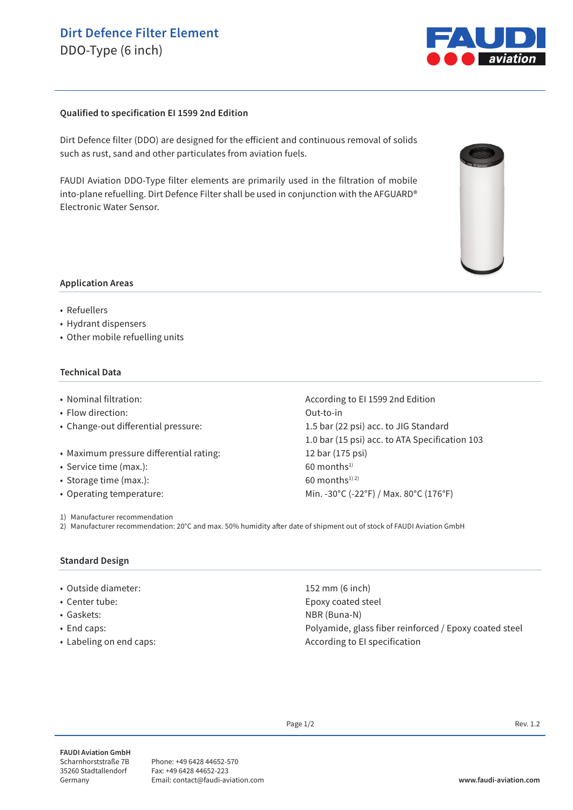# **Dirt Defence Filter Element**

DDO-Type (6 inch)



#### **Qualified to specification EI 1599 2nd Edition**

Dirt Defence filter (DDO) are designed for the efficient and continuous removal of solids such as rust, sand and other particulates from aviation fuels.

FAUDI Aviation DDO-Type filter elements are primarily used in the filtration of mobile into-plane refuelling. Dirt Defence Filter shall be used in conjunction with the AFGUARD® Electronic Water Sensor.



#### **Application Areas**

- Refuellers
- Hydrant dispensers
- Other mobile refuelling units

#### **Technical Data**

- 
- Flow direction: Out-to-in
- 
- Maximum pressure differential rating: 12 bar (175 psi)
- Service time (max.): 60 months<sup>1)</sup>
- Storage time (max.):  $60$  months<sup>1) 2)</sup>
- 
- 1) Manufacturer recommendation

• Nominal filtration:  $\blacksquare$  According to EI 1599 2nd Edition • Change-out differential pressure: 1.5 bar (22 psi) acc. to JIG Standard 1.0 bar (15 psi) acc. to ATA Specification 103 • Operating temperature: Min. -30°C (-22°F) / Max. 80°C (176°F)

2) Manufacturer recommendation: 20°C and max. 50% humidity after date of shipment out of stock of FAUDI Aviation GmbH

#### **Standard Design**

- Outside diameter: 152 mm (6 inch)
- 
- 
- 
- 

• Center tube: Epoxy coated steel • Gaskets: NBR (Buna-N) • End caps: Polyamide, glass fiber reinforced / Epoxy coated steel • Labeling on end caps:  $\overline{\phantom{a}}$  and  $\overline{\phantom{a}}$  and  $\overline{\phantom{a}}$  are  $\overline{\phantom{a}}$  are  $\overline{\phantom{a}}$  are  $\overline{\phantom{a}}$  are  $\overline{\phantom{a}}$  are  $\overline{\phantom{a}}$  are  $\overline{\phantom{a}}$  are  $\overline{\phantom{a}}$  are  $\overline{\phantom{a}}$  are  $\overline{\phantom{a}}$  are  $\overline{\phant$ 

Page  $1/2$  Rev. 1.2